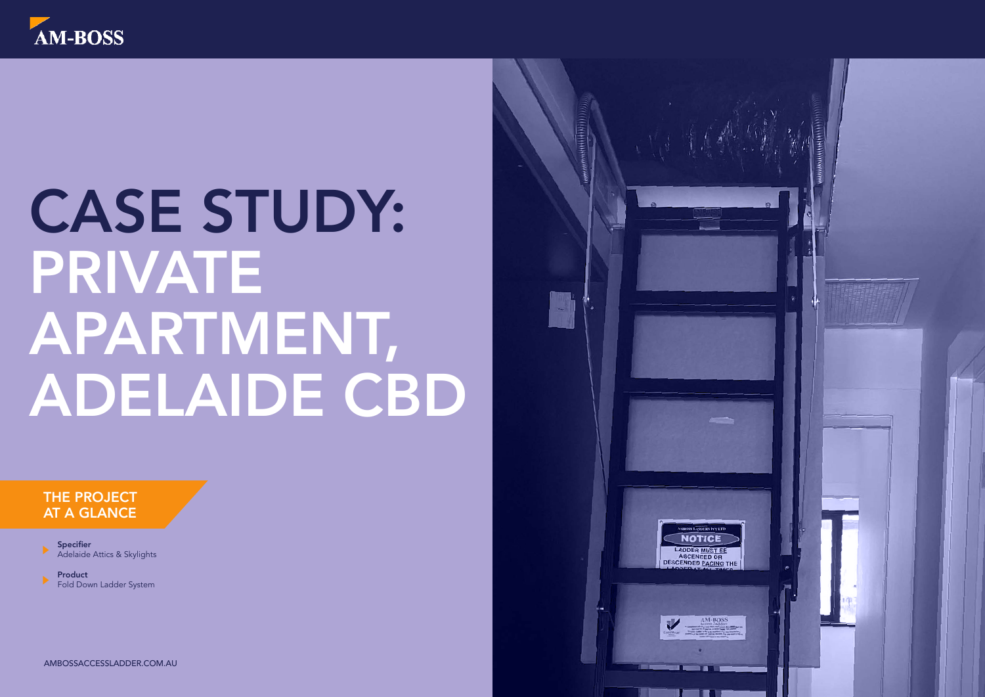

# CASE STUDY: PRIVATE APARTMENT, ADELAIDE CBD

## THE PROJECT AT A GLANCE

Specifier Adelaide Attics & Skylights

Product Fold Down Ladder System

AMBOSSACCESSLADDER.COM.AU



**NOTICE** 

**AM-BOSS**